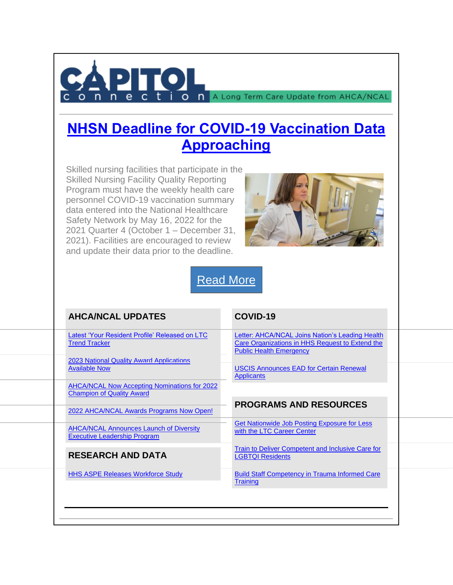

O n A Long Term Care Update from AHCA/NCAL

## **[NHSN Deadline for COVID-19 Vaccination Data](https://protect-us.mimecast.com/s/G_eqCmZX4wsjQRlI6OZsh?domain=cl.exct.net)  [Approaching](https://protect-us.mimecast.com/s/G_eqCmZX4wsjQRlI6OZsh?domain=cl.exct.net)**

Skilled nursing facilities that participate in the Skilled Nursing Facility Quality Reporting Program must have the weekly health care personnel COVID-19 vaccination summary data entered into the National Healthcare Safety Network by May 16, 2022 for the 2021 Quarter 4 (October 1 – December 31, 2021). Facilities are encouraged to review and update their data prior to the deadline.



[Read](https://protect-us.mimecast.com/s/iC0-Cn5J4Zf7R6DTAd1Yy?domain=cl.exct.net) More

| <b>AHCA/NCAL UPDATES</b>                                                                | COVID-19                                                                                                                             |  |
|-----------------------------------------------------------------------------------------|--------------------------------------------------------------------------------------------------------------------------------------|--|
| Latest 'Your Resident Profile' Released on LTC<br><b>Trend Tracker</b>                  | Letter: AHCA/NCAL Joins Nation's Leading Health<br>Care Organizations in HHS Request to Extend the<br><b>Public Health Emergency</b> |  |
| <b>2023 National Quality Award Applications</b><br><b>Available Now</b>                 | <b>USCIS Announces EAD for Certain Renewal</b><br><b>Applicants</b>                                                                  |  |
| <b>AHCA/NCAL Now Accepting Nominations for 2022</b><br><b>Champion of Quality Award</b> |                                                                                                                                      |  |
| 2022 AHCA/NCAL Awards Programs Now Open!                                                | <b>PROGRAMS AND RESOURCES</b>                                                                                                        |  |
| <b>AHCA/NCAL Announces Launch of Diversity</b><br><b>Executive Leadership Program</b>   | Get Nationwide Job Posting Exposure for Less<br>with the LTC Career Center                                                           |  |
| <b>RESEARCH AND DATA</b>                                                                | Train to Deliver Competent and Inclusive Care for<br><b>LGBTQI Residents</b>                                                         |  |
| <b>HHS ASPE Releases Workforce Study</b>                                                | <b>Build Staff Competency in Trauma Informed Care</b><br><b>Training</b>                                                             |  |
|                                                                                         |                                                                                                                                      |  |
|                                                                                         |                                                                                                                                      |  |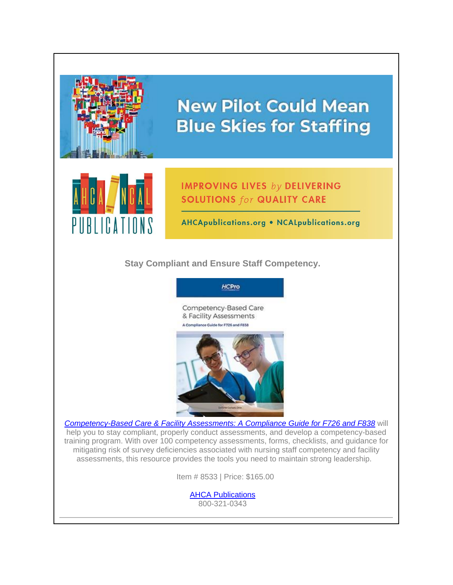